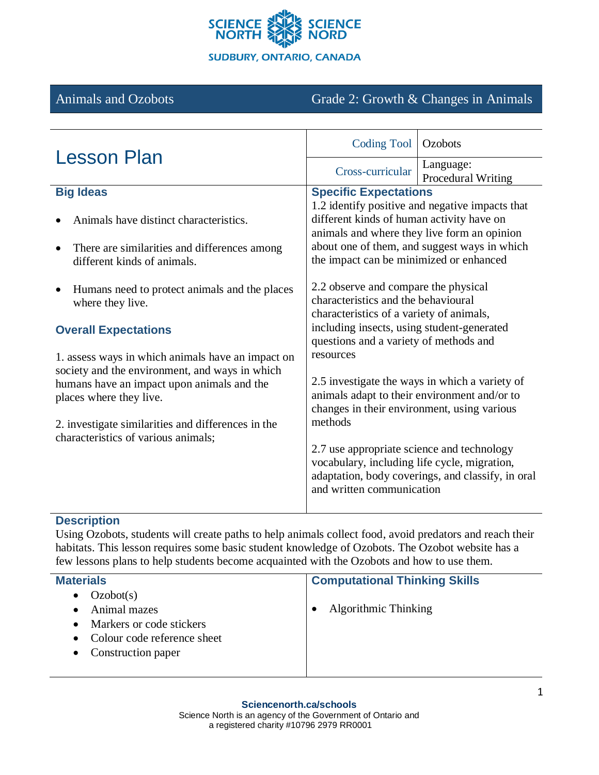

# Animals and Ozobots Grade 2: Growth & Changes in Animals

| <b>Lesson Plan</b>                                                                                                                                                                                                                                                                                                                                                            | <b>Coding Tool</b>                                                                                                                                                                                                                                                                                                                                                                                                                                                                                                                                                                                                                                                                                                                                                                                                 | Ozobots                         |
|-------------------------------------------------------------------------------------------------------------------------------------------------------------------------------------------------------------------------------------------------------------------------------------------------------------------------------------------------------------------------------|--------------------------------------------------------------------------------------------------------------------------------------------------------------------------------------------------------------------------------------------------------------------------------------------------------------------------------------------------------------------------------------------------------------------------------------------------------------------------------------------------------------------------------------------------------------------------------------------------------------------------------------------------------------------------------------------------------------------------------------------------------------------------------------------------------------------|---------------------------------|
|                                                                                                                                                                                                                                                                                                                                                                               | Cross-curricular                                                                                                                                                                                                                                                                                                                                                                                                                                                                                                                                                                                                                                                                                                                                                                                                   | Language:<br>Procedural Writing |
| <b>Big Ideas</b>                                                                                                                                                                                                                                                                                                                                                              | <b>Specific Expectations</b>                                                                                                                                                                                                                                                                                                                                                                                                                                                                                                                                                                                                                                                                                                                                                                                       |                                 |
| Animals have distinct characteristics.                                                                                                                                                                                                                                                                                                                                        | 1.2 identify positive and negative impacts that<br>different kinds of human activity have on<br>animals and where they live form an opinion<br>about one of them, and suggest ways in which<br>the impact can be minimized or enhanced<br>2.2 observe and compare the physical<br>characteristics and the behavioural<br>characteristics of a variety of animals,<br>including insects, using student-generated<br>questions and a variety of methods and<br>resources<br>2.5 investigate the ways in which a variety of<br>animals adapt to their environment and/or to<br>changes in their environment, using various<br>methods<br>2.7 use appropriate science and technology<br>vocabulary, including life cycle, migration,<br>adaptation, body coverings, and classify, in oral<br>and written communication |                                 |
| There are similarities and differences among<br>different kinds of animals.                                                                                                                                                                                                                                                                                                   |                                                                                                                                                                                                                                                                                                                                                                                                                                                                                                                                                                                                                                                                                                                                                                                                                    |                                 |
| Humans need to protect animals and the places<br>where they live.<br><b>Overall Expectations</b><br>1. assess ways in which animals have an impact on<br>society and the environment, and ways in which<br>humans have an impact upon animals and the<br>places where they live.<br>2. investigate similarities and differences in the<br>characteristics of various animals; |                                                                                                                                                                                                                                                                                                                                                                                                                                                                                                                                                                                                                                                                                                                                                                                                                    |                                 |

# **Description**

Using Ozobots, students will create paths to help animals collect food, avoid predators and reach their habitats. This lesson requires some basic student knowledge of Ozobots. The Ozobot website has a few lessons plans to help students become acquainted with the Ozobots and how to use them.

| <b>Materials</b>            | <b>Computational Thinking Skills</b> |
|-----------------------------|--------------------------------------|
| Ozobot(s)<br>$\bullet$      |                                      |
| Animal mazes                | Algorithmic Thinking                 |
| Markers or code stickers    |                                      |
| Colour code reference sheet |                                      |
| • Construction paper        |                                      |
|                             |                                      |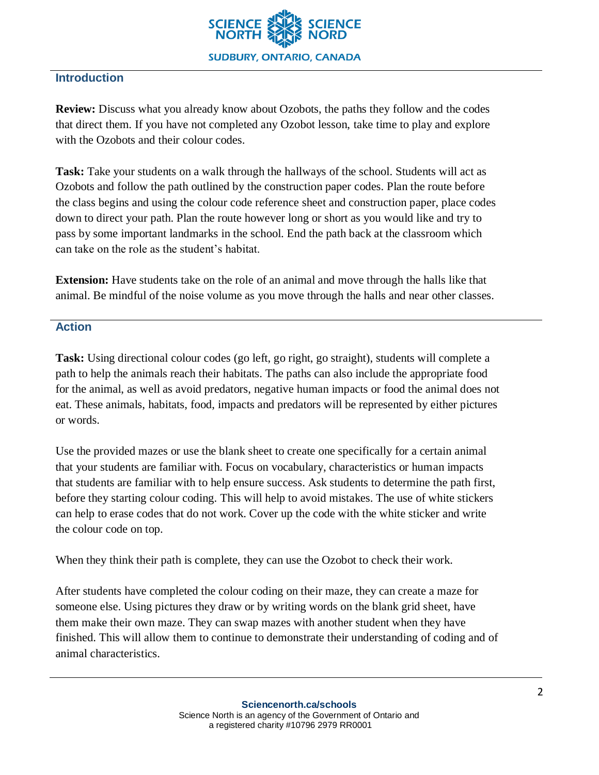

# **Introduction**

**Review:** Discuss what you already know about Ozobots, the paths they follow and the codes that direct them. If you have not completed any Ozobot lesson, take time to play and explore with the Ozobots and their colour codes.

Task: Take your students on a walk through the hallways of the school. Students will act as Ozobots and follow the path outlined by the construction paper codes. Plan the route before the class begins and using the colour code reference sheet and construction paper, place codes down to direct your path. Plan the route however long or short as you would like and try to pass by some important landmarks in the school. End the path back at the classroom which can take on the role as the student's habitat.

**Extension:** Have students take on the role of an animal and move through the halls like that animal. Be mindful of the noise volume as you move through the halls and near other classes.

#### **Action**

**Task:** Using directional colour codes (go left, go right, go straight), students will complete a path to help the animals reach their habitats. The paths can also include the appropriate food for the animal, as well as avoid predators, negative human impacts or food the animal does not eat. These animals, habitats, food, impacts and predators will be represented by either pictures or words.

Use the provided mazes or use the blank sheet to create one specifically for a certain animal that your students are familiar with. Focus on vocabulary, characteristics or human impacts that students are familiar with to help ensure success. Ask students to determine the path first, before they starting colour coding. This will help to avoid mistakes. The use of white stickers can help to erase codes that do not work. Cover up the code with the white sticker and write the colour code on top.

When they think their path is complete, they can use the Ozobot to check their work.

After students have completed the colour coding on their maze, they can create a maze for someone else. Using pictures they draw or by writing words on the blank grid sheet, have them make their own maze. They can swap mazes with another student when they have finished. This will allow them to continue to demonstrate their understanding of coding and of animal characteristics.